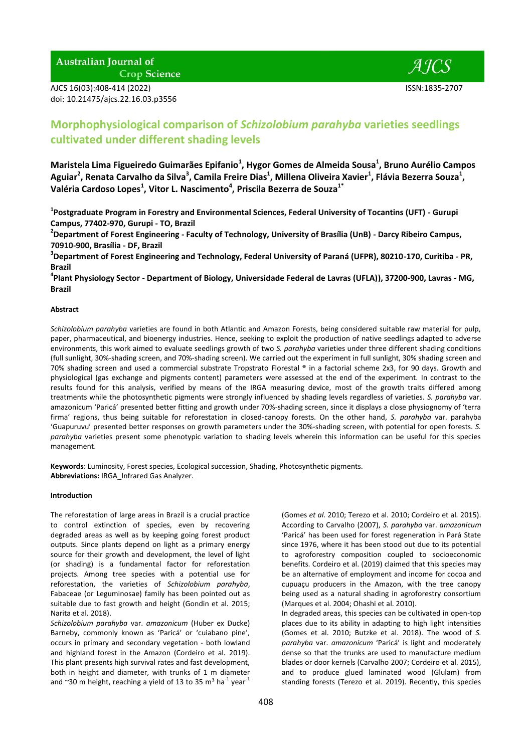**Australian Journal of** 

**Crop Science** 

AJCS 16(03):408-414 (2022) ISSN:1835-2707 doi: 10.21475/ajcs.22.16.03.p3556



# **Morphophysiological comparison of** *Schizolobium parahyba* **varieties seedlings cultivated under different shading levels**

**Maristela Lima Figueiredo Guimarães Epifanio<sup>1</sup> , Hygor Gomes de Almeida Sousa<sup>1</sup> , Bruno Aurélio Campos Aguiar<sup>2</sup> , Renata Carvalho da Silva<sup>3</sup> , Camila Freire Dias<sup>1</sup> , Millena Oliveira Xavier<sup>1</sup> , Flávia Bezerra Souza<sup>1</sup> , Valéria Cardoso Lopes<sup>1</sup> , Vitor L. Nascimento<sup>4</sup> , Priscila Bezerra de Souza1\***

**1 Postgraduate Program in Forestry and Environmental Sciences, Federal University of Tocantins (UFT) - Gurupi Campus, 77402-970, Gurupi - TO, Brazil**

**2 Department of Forest Engineering - Faculty of Technology, University of Brasília (UnB) - Darcy Ribeiro Campus, 70910-900, Brasília - DF, Brazil**

**3 Department of Forest Engineering and Technology, Federal University of Paraná (UFPR), 80210-170, Curitiba - PR, Brazil**

**4 Plant Physiology Sector - Department of Biology, Universidade Federal de Lavras (UFLA)), 37200-900, Lavras - MG, Brazil**

# **Abstract**

*Schizolobium parahyba* varieties are found in both Atlantic and Amazon Forests, being considered suitable raw material for pulp, paper, pharmaceutical, and bioenergy industries. Hence, seeking to exploit the production of native seedlings adapted to adverse environments, this work aimed to evaluate seedlings growth of two *S. parahyba* varieties under three different shading conditions (full sunlight, 30%-shading screen, and 70%-shading screen). We carried out the experiment in full sunlight, 30% shading screen and 70% shading screen and used a commercial substrate Tropstrato Florestal ® in a factorial scheme 2x3, for 90 days. Growth and physiological (gas exchange and pigments content) parameters were assessed at the end of the experiment. In contrast to the results found for this analysis, verified by means of the IRGA measuring device, most of the growth traits differed among treatments while the photosynthetic pigments were strongly influenced by shading levels regardless of varieties. *S. parahyba* var. amazonicum 'Paricá' presented better fitting and growth under 70%-shading screen, since it displays a close physiognomy of 'terra firma' regions, thus being suitable for reforestation in closed-canopy forests. On the other hand, *S. parahyba* var. parahyba 'Guapuruvu' presented better responses on growth parameters under the 30%-shading screen, with potential for open forests. *S. parahyba* varieties present some phenotypic variation to shading levels wherein this information can be useful for this species management.

**Keywords**: Luminosity, Forest species, Ecological succession, Shading, Photosynthetic pigments. **Abbreviations:** IRGA\_Infrared Gas Analyzer.

## **Introduction**

The reforestation of large areas in Brazil is a crucial practice to control extinction of species, even by recovering degraded areas as well as by keeping going forest product outputs. Since plants depend on light as a primary energy source for their growth and development, the level of light (or shading) is a fundamental factor for reforestation projects. Among tree species with a potential use for reforestation, the varieties of *Schizolobium parahyba*, Fabaceae (or Leguminosae) family has been pointed out as suitable due to fast growth and height (Gondin et al*.* 2015; Narita et al*.* 2018).

*Schizolobium parahyba* var. *amazonicum* (Huber ex Ducke) Barneby, commonly known as 'Paricá' or 'cuiabano pine', occurs in primary and secondary vegetation - both lowland and highland forest in the Amazon (Cordeiro et al*.* 2019). This plant presents high survival rates and fast development, both in height and diameter, with trunks of 1 m diameter and ~30 m height, reaching a yield of 13 to 35 m<sup>3</sup> ha<sup>-1</sup> year<sup>-1</sup>

(Gomes *et al.* 2010; Terezo et al*.* 2010; Cordeiro et al*.* 2015). According to Carvalho (2007), *S. parahyba* var. *amazonicum* 'Paricá' has been used for forest regeneration in Pará State since 1976, where it has been stood out due to its potential to agroforestry composition coupled to socioeconomic benefits. Cordeiro et al. (2019) claimed that this species may be an alternative of employment and income for cocoa and cupuaçu producers in the Amazon, with the tree canopy being used as a natural shading in agroforestry consortium (Marques et al. 2004; Ohashi et al. 2010).

In degraded areas, this species can be cultivated in open-top places due to its ability in adapting to high light intensities (Gomes et al. 2010; Butzke et al. 2018). The wood of *S. parahyba* var. *amazonicum* 'Paricá' is light and moderately dense so that the trunks are used to manufacture medium blades or door kernels (Carvalho 2007; Cordeiro et al. 2015), and to produce glued laminated wood (Glulam) from standing forests (Terezo et al. 2019). Recently, this species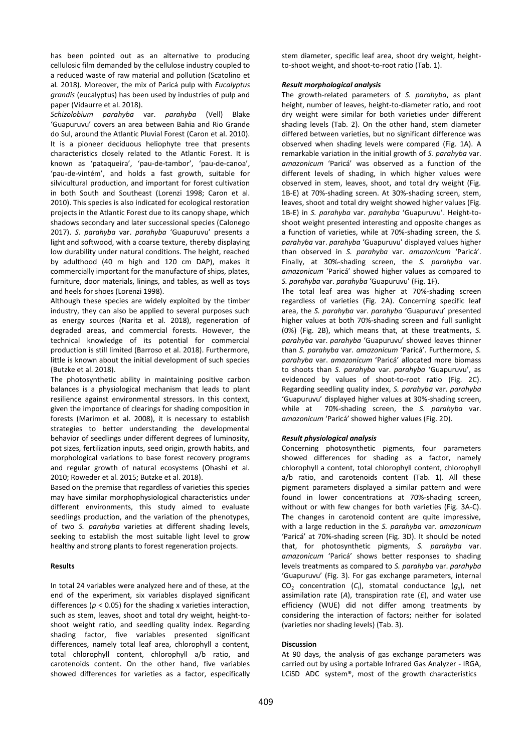has been pointed out as an alternative to producing cellulosic film demanded by the cellulose industry coupled to a reduced waste of raw material and pollution (Scatolino et al*.* 2018). Moreover, the mix of Paricá pulp with *Eucalyptus grandis* (eucalyptus) has been used by industries of pulp and paper (Vidaurre et al. 2018).

*Schizolobium parahyba* var. *parahyba* (Vell) Blake 'Guapuruvu' covers an area between Bahia and Rio Grande do Sul, around the Atlantic Pluvial Forest (Caron et al. 2010). It is a pioneer deciduous heliophyte tree that presents characteristics closely related to the Atlantic Forest. It is known as 'pataqueira', 'pau-de-tambor', 'pau-de-canoa', 'pau-de-vintém', and holds a fast growth, suitable for silvicultural production, and important for forest cultivation in both South and Southeast (Lorenzi 1998; Caron et al. 2010). This species is also indicated for ecological restoration projects in the Atlantic Forest due to its canopy shape, which shadows secondary and later successional species (Calonego 2017). *S. parahyba* var. *parahyba* 'Guapuruvu' presents a light and softwood, with a coarse texture, thereby displaying low durability under natural conditions. The height, reached by adulthood (40 m high and 120 cm DAP), makes it commercially important for the manufacture of ships, plates, furniture, door materials, linings, and tables, as well as toys and heels for shoes (Lorenzi 1998).

Although these species are widely exploited by the timber industry, they can also be applied to several purposes such as energy sources (Narita et al*.* 2018), regeneration of degraded areas, and commercial forests. However, the technical knowledge of its potential for commercial production is still limited (Barroso et al. 2018). Furthermore, little is known about the initial development of such species (Butzke et al. 2018).

The photosynthetic ability in maintaining positive carbon balances is a physiological mechanism that leads to plant resilience against environmental stressors. In this context, given the importance of clearings for shading composition in forests (Marimon et al. 2008), it is necessary to establish strategies to better understanding the developmental behavior of seedlings under different degrees of luminosity, pot sizes, fertilization inputs, seed origin, growth habits, and morphological variations to base forest recovery programs and regular growth of natural ecosystems (Ohashi et al. 2010; Roweder et al. 2015; Butzke et al. 2018).

Based on the premise that regardless of varieties this species may have similar morphophysiological characteristics under different environments, this study aimed to evaluate seedlings production, and the variation of the phenotypes, of two *S. parahyba* varieties at different shading levels, seeking to establish the most suitable light level to grow healthy and strong plants to forest regeneration projects.

#### **Results**

In total 24 variables were analyzed here and of these, at the end of the experiment, six variables displayed significant differences ( $p < 0.05$ ) for the shading x varieties interaction, such as stem, leaves, shoot and total dry weight, height-toshoot weight ratio, and seedling quality index. Regarding shading factor, five variables presented significant differences, namely total leaf area, chlorophyll a content, total chlorophyll content, chlorophyll a/b ratio, and carotenoids content. On the other hand, five variables showed differences for varieties as a factor, especifically

stem diameter, specific leaf area, shoot dry weight, heightto-shoot weight, and shoot-to-root ratio (Tab. 1).

## *Result morphological analysis*

The growth-related parameters of *S. parahyba*, as plant height, number of leaves, height-to-diameter ratio, and root dry weight were similar for both varieties under different shading levels (Tab. 2). On the other hand, stem diameter differed between varieties, but no significant difference was observed when shading levels were compared (Fig. 1A). A remarkable variation in the initial growth of *S. parahyba* var. *amazonicum* 'Paricá' was observed as a function of the different levels of shading, in which higher values were observed in stem, leaves, shoot, and total dry weight (Fig. 1B-E) at 70%-shading screen. At 30%-shading screen, stem, leaves, shoot and total dry weight showed higher values (Fig. 1B-E) in *S. parahyba* var. *parahyba* 'Guapuruvu'. Height-toshoot weight presented interesting and opposite changes as a function of varieties, while at 70%-shading screen, the *S. parahyba* var. *parahyba* 'Guapuruvu' displayed values higher than observed in *S. parahyba* var. *amazonicum* 'Paricá'. Finally, at 30%-shading screen, the *S. parahyba* var. *amazonicum* 'Paricá' showed higher values as compared to *S. parahyba* var. *parahyba* 'Guapuruvu' (Fig. 1F).

The total leaf area was higher at 70%-shading screen regardless of varieties (Fig. 2A). Concerning specific leaf area, the *S. parahyba* var. *parahyba* 'Guapuruvu' presented higher values at both 70%-shading screen and full sunlight (0%) (Fig. 2B), which means that, at these treatments, *S. parahyba* var. *parahyba* 'Guapuruvu' showed leaves thinner than *S. parahyba* var. *amazonicum* 'Paricá'. Furthermore, *S. parahyba* var. *amazonicum* 'Paricá' allocated more biomass to shoots than *S. parahyba* var. *parahyba* 'Guapuruvu', as evidenced by values of shoot-to-root ratio (Fig. 2C). Regarding seedling quality index, *S. parahyba* var. *parahyba* 'Guapuruvu' displayed higher values at 30%-shading screen, while at 70%-shading screen, the *S. parahyba* var. *amazonicum* 'Paricá' showed higher values (Fig. 2D).

## *Result physiological analysis*

Concerning photosynthetic pigments, four parameters showed differences for shading as a factor, namely chlorophyll a content, total chlorophyll content, chlorophyll a/b ratio, and carotenoids content (Tab. 1). All these pigment parameters displayed a similar pattern and were found in lower concentrations at 70%-shading screen, without or with few changes for both varieties (Fig. 3A-C). The changes in carotenoid content are quite impressive, with a large reduction in the *S. parahyba* var. *amazonicum* 'Paricá' at 70%-shading screen (Fig. 3D). It should be noted that, for photosynthetic pigments, *S. parahyba* var. *amazonicum* 'Paricá' shows better responses to shading levels treatments as compared to *S. parahyba* var. *parahyba* 'Guapuruvu' (Fig. 3). For gas exchange parameters, internal  $CO<sub>2</sub>$  concentration ( $C<sub>i</sub>$ ), stomatal conductance ( $g<sub>s</sub>$ ), net assimilation rate (*A*), transpiration rate (*E*), and water use efficiency (WUE) did not differ among treatments by considering the interaction of factors; neither for isolated (varieties nor shading levels) (Tab. 3).

### **Discussion**

At 90 days, the analysis of gas exchange parameters was carried out by using a portable Infrared Gas Analyzer - IRGA, LCiSD ADC system®, most of the growth characteristics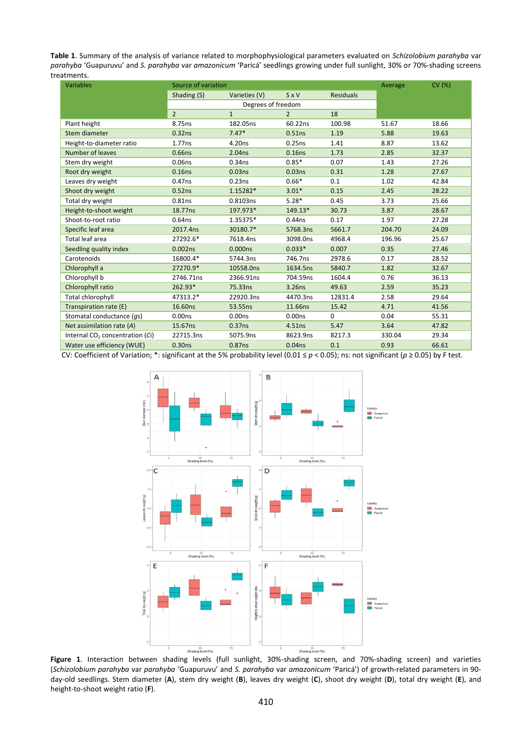**Table 1**. Summary of the analysis of variance related to morphophysiological parameters evaluated on *Schizolobium parahyba* var *parahyba* 'Guapuruvu' and *S. parahyba* var *amazonicum* 'Paricá' seedlings growing under full sunlight, 30% or 70%-shading screens treatments.

| <b>Variables</b>                  | Source of variation |                    |                    |                  | Average | CV (%) |
|-----------------------------------|---------------------|--------------------|--------------------|------------------|---------|--------|
|                                   | Shading (S)         | Varieties (V)      | SxV                | <b>Residuals</b> |         |        |
|                                   | Degrees of freedom  |                    |                    |                  |         |        |
|                                   | $\overline{2}$      | $\mathbf{1}$       | $\mathcal{P}$      | 18               |         |        |
| Plant height                      | 8.75ns              | 182.05ns           | 60.22ns            | 100.98           | 51.67   | 18.66  |
| Stem diameter                     | 0.32ns              | $7.47*$            | 0.51ns             | 1.19             | 5.88    | 19.63  |
| Height-to-diameter ratio          | 1.77ns              | 4.20ns             | 0.25ns             | 1.41             | 8.87    | 13.62  |
| Number of leaves                  | 0.66ns              | 2.04ns             | 0.16ns             | 1.73             | 2.85    | 32.37  |
| Stem dry weight                   | 0.06ns              | 0.34 <sub>ns</sub> | $0.85*$            | 0.07             | 1.43    | 27.26  |
| Root dry weight                   | 0.16ns              | 0.03ns             | 0.03ns             | 0.31             | 1.28    | 27.67  |
| Leaves dry weight                 | 0.47ns              | 0.23ns             | $0.66*$            | 0.1              | 1.02    | 42.84  |
| Shoot dry weight                  | 0.52ns              | 1.15282*           | $3.01*$            | 0.15             | 2.45    | 28.22  |
| Total dry weight                  | 0.81ns              | 0.8103ns           | $5.28*$            | 0.45             | 3.73    | 25.66  |
| Height-to-shoot weight            | 18.77ns             | 197.973*           | 149.13*            | 30.73            | 3.87    | 28.67  |
| Shoot-to-root ratio               | 0.64 <sub>ns</sub>  | 1.35375*           | $0.44$ ns          | 0.17             | 1.97    | 27.28  |
| Specific leaf area                | 2017.4ns            | 30180.7*           | 5768.3ns           | 5661.7           | 204.70  | 24.09  |
| Total leaf area                   | 27292.6*            | 7618.4ns           | 3098.0ns           | 4968.4           | 196.96  | 25.67  |
| Seedling quality index            | 0.002 <sub>ns</sub> | 0.000ns            | $0.033*$           | 0.007            | 0.35    | 27.46  |
| Carotenoids                       | 16800.4*            | 5744.3ns           | 746.7ns            | 2978.6           | 0.17    | 28.52  |
| Chlorophyll a                     | 27270.9*            | 10558.0ns          | 1634.5ns           | 5840.7           | 1.82    | 32.67  |
| Chlorophyll b                     | 2746.71ns           | 2366.91ns          | 704.59ns           | 1604.4           | 0.76    | 36.13  |
| Chlorophyll ratio                 | 262.93*             | 75.33ns            | 3.26ns             | 49.63            | 2.59    | 35.23  |
| Total chlorophyll                 | 47313.2*            | 22920.3ns          | 4470.3ns           | 12831.4          | 2.58    | 29.64  |
| Transpiration rate (E)            | 16.60ns             | 53.55ns            | 11.66ns            | 15.42            | 4.71    | 41.56  |
| Stomatal conductance (qs)         | 0.00 <sub>ns</sub>  | 0.00 <sub>ns</sub> | 0.00 <sub>ns</sub> | 0                | 0.04    | 55.31  |
| Net assimilation rate (A)         | 15.67ns             | 0.37ns             | 4.51ns             | 5.47             | 3.64    | 47.82  |
| Internal $CO2$ concentration (Ci) | 22715.3ns           | 5075.9ns           | 8623.9ns           | 8217.3           | 330.04  | 29.34  |
| Water use efficiency (WUE)        | 0.30ns              | 0.87ns             | 0.04 <sub>ns</sub> | 0.1              | 0.93    | 66.61  |

CV: Coefficient of Variation; \*: significant at the 5% probability level (0.01 ≤ *p* < 0.05); ns: not significant (*p* ≥ 0.05) by F test.



**Figure 1**. Interaction between shading levels (full sunlight, 30%-shading screen, and 70%-shading screen) and varieties (*Schizolobium parahyba* var *parahyba* 'Guapuruvu' and *S. parahyba* var *amazonicum* 'Paricá') of growth-related parameters in 90 day-old seedlings. Stem diameter (**A**), stem dry weight (**B**), leaves dry weight (**C**), shoot dry weight (**D**), total dry weight (**E**), and height-to-shoot weight ratio (**F**).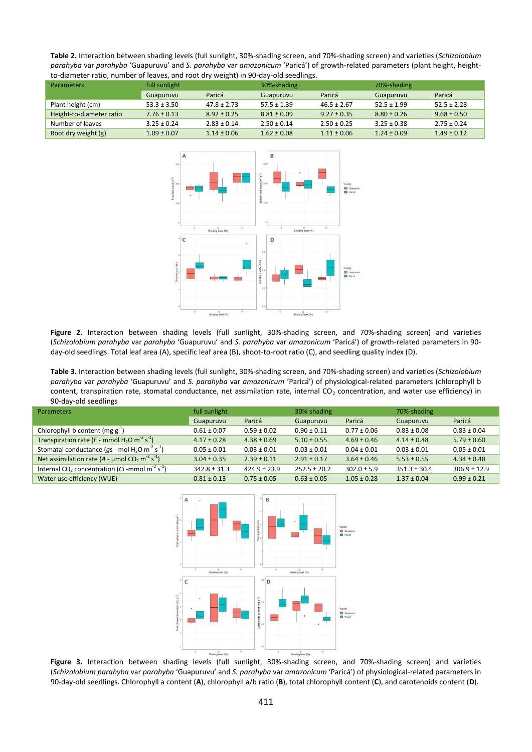**Table 2.** Interaction between shading levels (full sunlight, 30%-shading screen, and 70%-shading screen) and varieties (*Schizolobium parahyba* var *parahyba* 'Guapuruvu' and *S. parahyba* var *amazonicum* 'Paricá') of growth-related parameters (plant height, heightto-diameter ratio, number of leaves, and root dry weight) in 90-day-old seedlings.

| <b>Parameters</b>        | full sunlight   |                 | 30%-shading     |                 | 70%-shading     |                 |
|--------------------------|-----------------|-----------------|-----------------|-----------------|-----------------|-----------------|
|                          | Guapuruvu       | Paricá          | Guapuruvu       | Paricá          | Guapuruvu       | Paricá          |
| Plant height (cm)        | $53.3 \pm 3.50$ | $47.8 \pm 2.73$ | $57.5 \pm 1.39$ | $46.5 \pm 2.67$ | $52.5 \pm 1.99$ | $52.5 \pm 2.28$ |
| Height-to-diameter ratio | $7.76 \pm 0.13$ | $8.92 \pm 0.25$ | $8.81 \pm 0.09$ | $9.27 \pm 0.35$ | $8.80 \pm 0.26$ | $9.68 \pm 0.50$ |
| Number of leaves         | $3.25 \pm 0.24$ | $2.83 \pm 0.14$ | $2.50 \pm 0.14$ | $2.50 \pm 0.25$ | $3.25 \pm 0.38$ | $2.75 \pm 0.24$ |
| Root dry weight (g)      | $1.09 \pm 0.07$ | $1.14 \pm 0.06$ | $1.62 \pm 0.08$ | $1.11 \pm 0.06$ | $1.24 \pm 0.09$ | $1.49 \pm 0.12$ |



**Figure 2.** Interaction between shading levels (full sunlight, 30%-shading screen, and 70%-shading screen) and varieties (*Schizolobium parahyba* var *parahyba* 'Guapuruvu' and *S. parahyba* var *amazonicum* 'Paricá') of growth-related parameters in 90 day-old seedlings. Total leaf area (A), specific leaf area (B), shoot-to-root ratio (C), and seedling quality index (D).

**Table 3.** Interaction between shading levels (full sunlight, 30%-shading screen, and 70%-shading screen) and varieties (*Schizolobium parahyba* var *parahyba* 'Guapuruvu' and *S. parahyba* var *amazonicum* 'Paricá') of physiological-related parameters (chlorophyll b content, transpiration rate, stomatal conductance, net assimilation rate, internal CO<sub>2</sub> concentration, and water use efficiency) in 90-day-old seedlings

| <b>Parameters</b>                                                                      | full sunlight    |                  | 30%-shading      |                 | 70%-shading      |                  |
|----------------------------------------------------------------------------------------|------------------|------------------|------------------|-----------------|------------------|------------------|
|                                                                                        | Guapuruvu        | Paricá           | Guapuruvu        | Paricá          | Guapuruvu        | Paricá           |
| Chlorophyll b content (mg $g^{-1}$ )                                                   | $0.61 \pm 0.07$  | $0.59 \pm 0.02$  | $0.90 \pm 0.11$  | $0.77 \pm 0.06$ | $0.83 \pm 0.08$  | $0.83 \pm 0.04$  |
| Transpiration rate ( $E$ - mmol H <sub>2</sub> O m <sup>-2</sup> s <sup>-1</sup> )     | $4.17 \pm 0.28$  | $4.38 \pm 0.69$  | $5.10 \pm 0.55$  | $4.69 \pm 0.46$ | $4.14 \pm 0.48$  | $5.79 \pm 0.60$  |
| Stomatal conductance ( $qs$ - mol H <sub>2</sub> O m <sup>-2</sup> s <sup>-1</sup> )   | $0.05 \pm 0.01$  | $0.03 \pm 0.01$  | $0.03 \pm 0.01$  | $0.04 \pm 0.01$ | $0.03 \pm 0.01$  | $0.05 \pm 0.01$  |
| Net assimilation rate (A - $\mu$ mol CO <sub>2</sub> m <sup>-2</sup> s <sup>-1</sup> ) | $3.04 \pm 0.35$  | $2.39 \pm 0.11$  | $2.91 \pm 0.17$  | $3.64 \pm 0.46$ | $5.53 \pm 0.55$  | $4.34 \pm 0.48$  |
| Internal CO <sub>2</sub> concentration (Ci -mmol m <sup>-2</sup> s <sup>-1</sup> )     | $342.8 \pm 31.3$ | $424.9 \pm 23.9$ | $252.5 \pm 20.2$ | $302.0 \pm 5.9$ | $351.3 \pm 30.4$ | $306.9 \pm 12.9$ |
| Water use efficiency (WUE)                                                             | $0.81 \pm 0.13$  | $0.75 \pm 0.05$  | $0.63 \pm 0.05$  | $1.05 \pm 0.28$ | $1.37 \pm 0.04$  | $0.99 \pm 0.21$  |



**Figure 3.** Interaction between shading levels (full sunlight, 30%-shading screen, and 70%-shading screen) and varieties (*Schizolobium parahyba* var *parahyba* 'Guapuruvu' and *S. parahyba* var *amazonicum* 'Paricá') of physiological-related parameters in 90-day-old seedlings. Chlorophyll a content (**A**), chlorophyll a/b ratio (**B**), total chlorophyll content (**C**), and carotenoids content (**D**).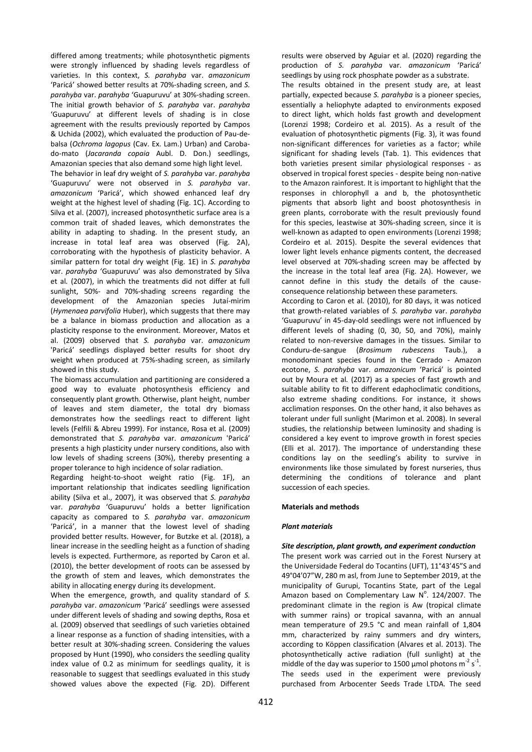differed among treatments; while photosynthetic pigments were strongly influenced by shading levels regardless of varieties. In this context, *S. parahyba* var. *amazonicum* 'Paricá' showed better results at 70%-shading screen, and *S. parahyba* var. *parahyba* 'Guapuruvu' at 30%-shading screen. The initial growth behavior of *S. parahyba* var. *parahyba* 'Guapuruvu' at different levels of shading is in close agreement with the results previously reported by Campos & Uchida (2002), which evaluated the production of Pau-debalsa (*Ochroma lagopus* (Cav. Ex. Lam.) Urban) and Carobado-mato (*Jacaranda copaia* Aubl. D. Don.) seedlings, Amazonian species that also demand some high light level. The behavior in leaf dry weight of *S. parahyba* var. *parahyba* 'Guapuruvu' were not observed in *S. parahyba* var. *amazonicum* 'Paricá', which showed enhanced leaf dry weight at the highest level of shading (Fig. 1C). According to Silva et al. (2007), increased photosynthetic surface area is a common trait of shaded leaves, which demonstrates the ability in adapting to shading. In the present study, an increase in total leaf area was observed (Fig. 2A), corroborating with the hypothesis of plasticity behavior. A similar pattern for total dry weight (Fig. 1E) in *S. parahyba* var. *parahyba* 'Guapuruvu' was also demonstrated by Silva et al*.* (2007), in which the treatments did not differ at full sunlight, 50%- and 70%-shading screens regarding the development of the Amazonian species Jutaí-mirim (*Hymenaea parvifolia* Huber), which suggests that there may be a balance in biomass production and allocation as a plasticity response to the environment. Moreover, Matos et al. (2009) observed that *S. parahyba* var. *amazonicum* 'Paricá' seedlings displayed better results for shoot dry weight when produced at 75%-shading screen, as similarly showed in this study.

The biomass accumulation and partitioning are considered a good way to evaluate photosynthesis efficiency and consequently plant growth. Otherwise, plant height, number of leaves and stem diameter, the total dry biomass demonstrates how the seedlings react to different light levels (Felfili & Abreu 1999). For instance, Rosa et al. (2009) demonstrated that *S. parahyba* var. *amazonicum* 'Paricá' presents a high plasticity under nursery conditions, also with low levels of shading screens (30%), thereby presenting a proper tolerance to high incidence of solar radiation.

Regarding height-to-shoot weight ratio (Fig. 1F), an important relationship that indicates seedling lignification ability (Silva et al., 2007), it was observed that *S. parahyba*  var. *parahyba* 'Guapuruvu' holds a better lignification capacity as compared to *S. parahyba* var. *amazonicum* 'Paricá', in a manner that the lowest level of shading provided better results. However, for Butzke et al. (2018), a linear increase in the seedling height as a function of shading levels is expected. Furthermore, as reported by Caron et al. (2010), the better development of roots can be assessed by the growth of stem and leaves, which demonstrates the ability in allocating energy during its development.

When the emergence, growth, and quality standard of *S. parahyba* var. *amazonicum* 'Paricá' seedlings were assessed under different levels of shading and sowing depths, Rosa et al*.* (2009) observed that seedlings of such varieties obtained a linear response as a function of shading intensities, with a better result at 30%-shading screen. Considering the values proposed by Hunt (1990), who considers the seedling quality index value of 0.2 as minimum for seedlings quality, it is reasonable to suggest that seedlings evaluated in this study showed values above the expected (Fig. 2D). Different results were observed by Aguiar et al. (2020) regarding the production of *S. parahyba* var. *amazonicum* 'Paricá' seedlings by using rock phosphate powder as a substrate.

The results obtained in the present study are, at least partially, expected because *S. parahyba* is a pioneer species, essentially a heliophyte adapted to environments exposed to direct light, which holds fast growth and development (Lorenzi 1998; Cordeiro et al*.* 2015). As a result of the evaluation of photosynthetic pigments (Fig. 3), it was found non-significant differences for varieties as a factor; while significant for shading levels (Tab. 1). This evidences that both varieties present similar physiological responses - as observed in tropical forest species - despite being non-native to the Amazon rainforest. It is important to highlight that the responses in chlorophyll a and b, the photosynthetic pigments that absorb light and boost photosynthesis in green plants, corroborate with the result previously found for this species, leastwise at 30%-shading screen, since it is well-known as adapted to open environments (Lorenzi 1998; Cordeiro et al*.* 2015). Despite the several evidences that lower light levels enhance pigments content, the decreased level observed at 70%-shading screen may be affected by the increase in the total leaf area (Fig. 2A). However, we cannot define in this study the details of the causeconsequence relationship between these parameters.

According to Caron et al*.* (2010), for 80 days, it was noticed that growth-related variables of *S. parahyba* var. *parahyba* 'Guapuruvu' in 45-day-old seedlings were not influenced by different levels of shading (0, 30, 50, and 70%), mainly related to non-reversive damages in the tissues. Similar to Conduru-de-sangue (*Brosimum rubescens* Taub.), a monodominant species found in the Cerrado - Amazon ecotone, *S. parahyba* var. *amazonicum* 'Paricá' is pointed out by Moura et al*.* (2017) as a species of fast growth and suitable ability to fit to different edaphoclimatic conditions, also extreme shading conditions. For instance, it shows acclimation responses. On the other hand, it also behaves as tolerant under full sunlight (Marimon et al. 2008). In several studies, the relationship between luminosity and shading is considered a key event to improve growth in forest species (Elli et al. 2017). The importance of understanding these conditions lay on the seedling's ability to survive in environments like those simulated by forest nurseries, thus determining the conditions of tolerance and plant succession of each species.

## **Materials and methods**

#### *Plant materials*

#### *Site description, plant growth, and experiment conduction*

The present work was carried out in the Forest Nursery at the Universidade Federal do Tocantins (UFT), 11°43'45"S and 49°04'07"W, 280 m asl, from June to September 2019, at the municipality of Gurupi, Tocantins State, part of the Legal Amazon based on Complementary Law  $N^{\circ}$ . 124/2007. The predominant climate in the region is Aw (tropical climate with summer rains) or tropical savanna, with an annual mean temperature of 29.5 °C and mean rainfall of 1,804 mm, characterized by rainy summers and dry winters, according to Köppen classification (Alvares et al. 2013). The photosynthetically active radiation (full sunlight) at the middle of the day was superior to 1500  $\mu$ mol photons m<sup>-2</sup> s<sup>-1</sup>. The seeds used in the experiment were previously purchased from Arbocenter Seeds Trade LTDA. The seed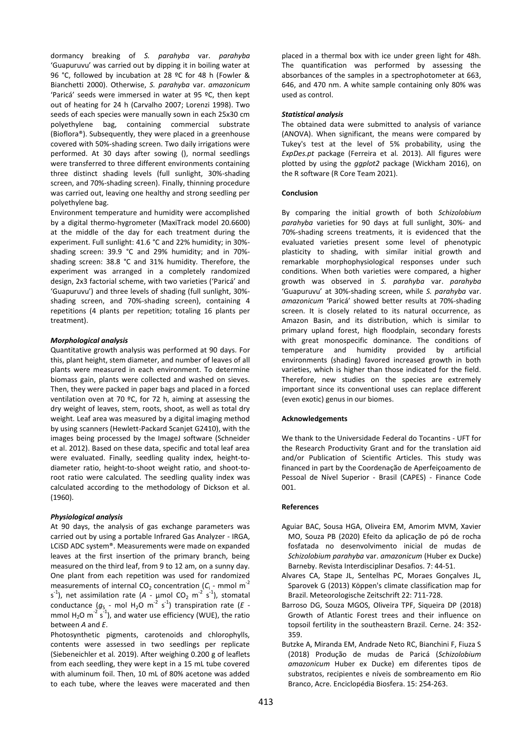dormancy breaking of *S. parahyba* var. *parahyba* 'Guapuruvu' was carried out by dipping it in boiling water at 96 °C, followed by incubation at 28 ºC for 48 h (Fowler & Bianchetti 2000). Otherwise, *S. parahyba* var. *amazonicum* 'Paricá' seeds were immersed in water at 95 ºC, then kept out of heating for 24 h (Carvalho 2007; Lorenzi 1998). Two seeds of each species were manually sown in each 25x30 cm polyethylene bag, containing commercial substrate (Bioflora®). Subsequently, they were placed in a greenhouse covered with 50%-shading screen. Two daily irrigations were performed. At 30 days after sowing (), normal seedlings were transferred to three different environments containing three distinct shading levels (full sunlight, 30%-shading screen, and 70%-shading screen). Finally, thinning procedure was carried out, leaving one healthy and strong seedling per polyethylene bag.

Environment temperature and humidity were accomplished by a digital thermo-hygrometer (MaxiTrack model 20.6600) at the middle of the day for each treatment during the experiment. Full sunlight: 41.6 °C and 22% humidity; in 30% shading screen: 39.9 °C and 29% humidity; and in 70% shading screen: 38.8 °C and 31% humidity. Therefore, the experiment was arranged in a completely randomized design, 2x3 factorial scheme, with two varieties ('Paricá' and 'Guapuruvu') and three levels of shading (full sunlight, 30% shading screen, and 70%-shading screen), containing 4 repetitions (4 plants per repetition; totaling 16 plants per treatment).

## *Morphological analysis*

Quantitative growth analysis was performed at 90 days. For this, plant height, stem diameter, and number of leaves of all plants were measured in each environment. To determine biomass gain, plants were collected and washed on sieves. Then, they were packed in paper bags and placed in a forced ventilation oven at 70 ºC, for 72 h, aiming at assessing the dry weight of leaves, stem, roots, shoot, as well as total dry weight. Leaf area was measured by a digital imaging method by using scanners (Hewlett-Packard Scanjet G2410), with the images being processed by the ImageJ software (Schneider et al. 2012). Based on these data, specific and total leaf area were evaluated. Finally, seedling quality index, height-todiameter ratio, height-to-shoot weight ratio, and shoot-toroot ratio were calculated. The seedling quality index was calculated according to the methodology of Dickson et al*.* (1960).

#### *Physiological analysis*

At 90 days, the analysis of gas exchange parameters was carried out by using a portable Infrared Gas Analyzer - IRGA, LCiSD ADC system®. Measurements were made on expanded leaves at the first insertion of the primary branch, being measured on the third leaf, from 9 to 12 am, on a sunny day. One plant from each repetition was used for randomized measurements of internal  $CO<sub>2</sub>$  concentration ( $C<sub>i</sub>$  - mmol m<sup>-2</sup> s<sup>-1</sup>), net assimilation rate (A - µmol CO<sub>2</sub> m<sup>-2</sup> s<sup>-1</sup>), stomatal conductance  $(g_S - \text{mol H}_2\text{O m}^{-2} \text{ s}^{-1})$  transpiration rate (*E* mmol  $H_2O$  m<sup>-2</sup> s<sup>-1</sup>), and water use efficiency (WUE), the ratio between *A* and *E*.

Photosynthetic pigments, carotenoids and chlorophylls, contents were assessed in two seedlings per replicate (Siebeneichler et al*.* 2019). After weighing 0.200 g of leaflets from each seedling, they were kept in a 15 mL tube covered with aluminum foil. Then, 10 mL of 80% acetone was added to each tube, where the leaves were macerated and then placed in a thermal box with ice under green light for 48h. The quantification was performed by assessing the absorbances of the samples in a spectrophotometer at 663, 646, and 470 nm. A white sample containing only 80% was used as control.

#### *Statistical analysis*

The obtained data were submitted to analysis of variance (ANOVA). When significant, the means were compared by Tukey's test at the level of 5% probability, using the *ExpDes.pt* package (Ferreira et al*.* 2013). All figures were plotted by using the *ggplot2* package (Wickham 2016), on the R software (R Core Team 2021).

#### **Conclusion**

By comparing the initial growth of both *Schizolobium parahyba* varieties for 90 days at full sunlight, 30%- and 70%-shading screens treatments, it is evidenced that the evaluated varieties present some level of phenotypic plasticity to shading, with similar initial growth and remarkable morphophysiological responses under such conditions. When both varieties were compared, a higher growth was observed in *S. parahyba* var. *parahyba* 'Guapuruvu' at 30%-shading screen, while *S. parahyba* var. *amazonicum* 'Paricá' showed better results at 70%-shading screen. It is closely related to its natural occurrence, as Amazon Basin, and its distribution, which is similar to primary upland forest, high floodplain, secondary forests with great monospecific dominance. The conditions of temperature and humidity provided by artificial environments (shading) favored increased growth in both varieties, which is higher than those indicated for the field. Therefore, new studies on the species are extremely important since its conventional uses can replace different (even exotic) genus in our biomes.

#### **Acknowledgements**

We thank to the Universidade Federal do Tocantins - UFT for the Research Productivity Grant and for the translation aid and/or Publication of Scientific Articles. This study was financed in part by the Coordenação de Aperfeiçoamento de Pessoal de Nível Superior - Brasil (CAPES) - Finance Code 001.

#### **References**

- Aguiar BAC, Sousa HGA, Oliveira EM, Amorim MVM, Xavier MO, Souza PB (2020) Efeito da aplicação de pó de rocha fosfatada no desenvolvimento inicial de mudas de *Schizolobium parahyba* var. *amazonicum* (Huber ex Ducke) Barneby. Revista Interdisciplinar Desafios. 7: 44-51.
- Alvares CA, Stape JL, Sentelhas PC, Moraes Gonçalves JL, Sparovek G (2013) Köppen's climate classification map for Brazil. Meteorologische Zeitschrift 22: 711-728.
- Barroso DG, Souza MGOS, Oliveira TPF, Siqueira DP (2018) Growth of Atlantic Forest trees and their influence on topsoil fertility in the southeastern Brazil. Cerne. 24: 352- 359.
- Butzke A, Miranda EM, Andrade Neto RC, Bianchini F, Fiuza S (2018) Produção de mudas de Paricá (*Schizolobium amazonicum* Huber ex Ducke) em diferentes tipos de substratos, recipientes e níveis de sombreamento em Rio Branco, Acre. Enciclopédia Biosfera. 15: 254-263.